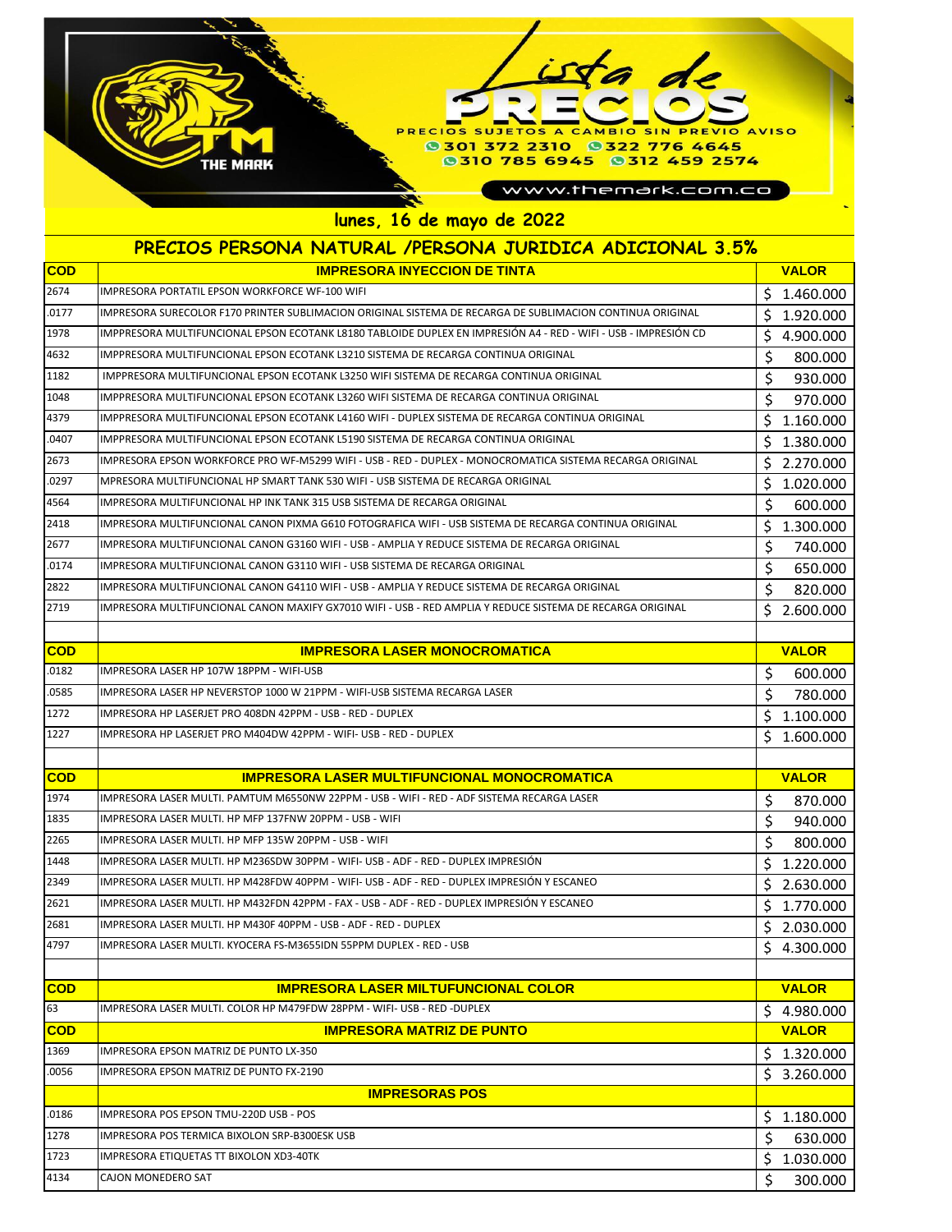## PRECIOS SUJETOS A CAMBIO SIN PREVIO AVISO 0301 372 2310 0322 776 4645<br>0310 785 6945 0312 459 2574 THE MARK www.themark.com.co **lunes, 16 de mayo de 2022**

## **PRECIOS PERSONA NATURAL /PERSONA JURIDICA ADICIONAL 3.5%**

| <b>COD</b> | <b>IMPRESORA INYECCION DE TINTA</b>                                                                             | <b>VALOR</b>    |
|------------|-----------------------------------------------------------------------------------------------------------------|-----------------|
| 2674       | IMPRESORA PORTATIL EPSON WORKFORCE WF-100 WIFI                                                                  | Ś<br>1.460.000  |
| .0177      | IMPRESORA SURECOLOR F170 PRINTER SUBLIMACION ORIGINAL SISTEMA DE RECARGA DE SUBLIMACION CONTINUA ORIGINAL       | \$<br>1.920.000 |
| 1978       | IMPPRESORA MULTIFUNCIONAL EPSON ECOTANK L8180 TABLOIDE DUPLEX EN IMPRESIÓN A4 - RED - WIFI - USB - IMPRESIÓN CD | \$<br>4.900.000 |
| 4632       | IMPPRESORA MULTIFUNCIONAL EPSON ECOTANK L3210 SISTEMA DE RECARGA CONTINUA ORIGINAL                              | \$<br>800.000   |
| 1182       | IMPPRESORA MULTIFUNCIONAL EPSON ECOTANK L3250 WIFI SISTEMA DE RECARGA CONTINUA ORIGINAL                         | \$<br>930.000   |
| 1048       | IMPPRESORA MULTIFUNCIONAL EPSON ECOTANK L3260 WIFI SISTEMA DE RECARGA CONTINUA ORIGINAL                         | \$<br>970.000   |
| 4379       | IMPPRESORA MULTIFUNCIONAL EPSON ECOTANK L4160 WIFI - DUPLEX SISTEMA DE RECARGA CONTINUA ORIGINAL                | \$<br>1.160.000 |
| .0407      | IMPPRESORA MULTIFUNCIONAL EPSON ECOTANK L5190 SISTEMA DE RECARGA CONTINUA ORIGINAL                              | Ś<br>1.380.000  |
| 2673       | IMPRESORA EPSON WORKFORCE PRO WF-M5299 WIFI - USB - RED - DUPLEX - MONOCROMATICA SISTEMA RECARGA ORIGINAL       | \$<br>2.270.000 |
| .0297      | MPRESORA MULTIFUNCIONAL HP SMART TANK 530 WIFI - USB SISTEMA DE RECARGA ORIGINAL                                | \$<br>1.020.000 |
| 4564       | IMPRESORA MULTIFUNCIONAL HP INK TANK 315 USB SISTEMA DE RECARGA ORIGINAL                                        | \$<br>600.000   |
| 2418       | IMPRESORA MULTIFUNCIONAL CANON PIXMA G610 FOTOGRAFICA WIFI - USB SISTEMA DE RECARGA CONTINUA ORIGINAL           | \$<br>1.300.000 |
| 2677       | IMPRESORA MULTIFUNCIONAL CANON G3160 WIFI - USB - AMPLIA Y REDUCE SISTEMA DE RECARGA ORIGINAL                   | \$<br>740.000   |
| .0174      | IMPRESORA MULTIFUNCIONAL CANON G3110 WIFI - USB SISTEMA DE RECARGA ORIGINAL                                     | \$<br>650.000   |
| 2822       | IMPRESORA MULTIFUNCIONAL CANON G4110 WIFI - USB - AMPLIA Y REDUCE SISTEMA DE RECARGA ORIGINAL                   | \$<br>820.000   |
| 2719       | IMPRESORA MULTIFUNCIONAL CANON MAXIFY GX7010 WIFI - USB - RED AMPLIA Y REDUCE SISTEMA DE RECARGA ORIGINAL       | \$2.600.000     |
|            |                                                                                                                 |                 |
| <b>COD</b> | <b>IMPRESORA LASER MONOCROMATICA</b>                                                                            | <b>VALOR</b>    |
| .0182      | IMPRESORA LASER HP 107W 18PPM - WIFI-USB                                                                        | \$<br>600.000   |
| .0585      | IMPRESORA LASER HP NEVERSTOP 1000 W 21PPM - WIFI-USB SISTEMA RECARGA LASER                                      | \$<br>780.000   |
| 1272       | IMPRESORA HP LASERJET PRO 408DN 42PPM - USB - RED - DUPLEX                                                      | \$<br>1.100.000 |
| 1227       | IMPRESORA HP LASERJET PRO M404DW 42PPM - WIFI- USB - RED - DUPLEX                                               | \$<br>1.600.000 |
|            |                                                                                                                 |                 |
| <b>COD</b> | <b>IMPRESORA LASER MULTIFUNCIONAL MONOCROMATICA</b>                                                             | <b>VALOR</b>    |
| 1974       | IMPRESORA LASER MULTI. PAMTUM M6550NW 22PPM - USB - WIFI - RED - ADF SISTEMA RECARGA LASER                      | \$<br>870.000   |
| 1835       | IMPRESORA LASER MULTI. HP MFP 137FNW 20PPM - USB - WIFI                                                         | \$<br>940.000   |
| 2265       | IMPRESORA LASER MULTI. HP MFP 135W 20PPM - USB - WIFI                                                           | \$<br>800.000   |
| 1448       | IMPRESORA LASER MULTI. HP M236SDW 30PPM - WIFI- USB - ADF - RED - DUPLEX IMPRESIÓN                              | \$<br>1.220.000 |
| 2349       | IIMPRESORA LASER MULTI. HP M428FDW 40PPM - WIFI- USB - ADF - RED - DUPLEX IMPRESIÓN Y ESCANEO                   | \$<br>2.630.000 |
| 2621       | IMPRESORA LASER MULTI. HP M432FDN 42PPM - FAX - USB - ADF - RED - DUPLEX IMPRESIÓN Y ESCANEO                    | \$<br>1.770.000 |
| 2681       | IMPRESORA LASER MULTI. HP M430F 40PPM - USB - ADF - RED - DUPLEX                                                | \$<br>2.030.000 |
| 4797       | IMPRESORA LASER MULTI. KYOCERA FS-M3655IDN 55PPM DUPLEX - RED - USB                                             | \$<br>4.300.000 |
|            |                                                                                                                 |                 |
| <b>COD</b> | <b>IMPRESORA LASER MILTUFUNCIONAL COLOR</b>                                                                     | <b>VALOR</b>    |
| 63         | IMPRESORA LASER MULTI. COLOR HP M479FDW 28PPM - WIFI- USB - RED -DUPLEX                                         | \$4.980.000     |
| <b>COD</b> | <b>IMPRESORA MATRIZ DE PUNTO</b>                                                                                | <b>VALOR</b>    |
| 1369       | IMPRESORA EPSON MATRIZ DE PUNTO LX-350                                                                          | \$<br>1.320.000 |
| .0056      | IMPRESORA EPSON MATRIZ DE PUNTO FX-2190                                                                         | \$<br>3.260.000 |
|            | <b>IMPRESORAS POS</b>                                                                                           |                 |
| .0186      | IMPRESORA POS EPSON TMU-220D USB - POS                                                                          | \$1.180.000     |
| 1278       | IMPRESORA POS TERMICA BIXOLON SRP-B300ESK USB                                                                   | \$<br>630.000   |
| 1723       | <b>IMPRESORA ETIQUETAS TT BIXOLON XD3-40TK</b>                                                                  | \$<br>1.030.000 |
| 4134       | CAJON MONEDERO SAT                                                                                              | \$<br>300.000   |